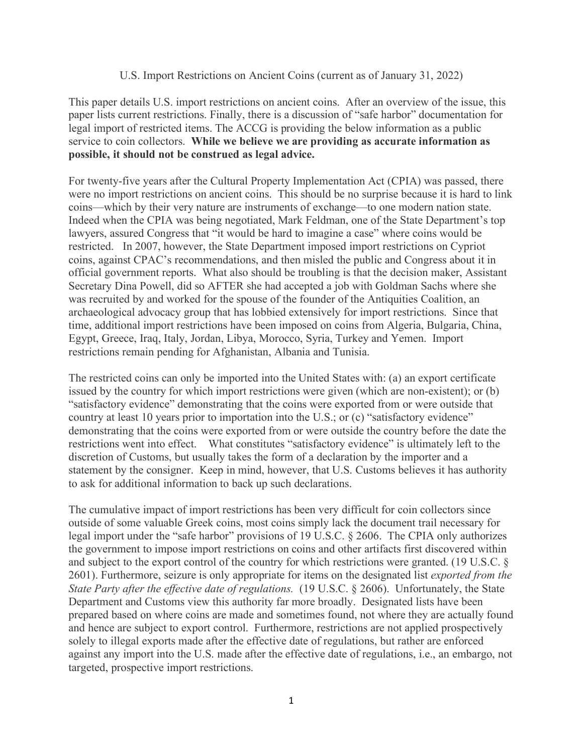## U.S. Import Restrictions on Ancient Coins (current as of January 31, 2022)

This paper details U.S. import restrictions on ancient coins. After an overview of the issue, this paper lists current restrictions. Finally, there is a discussion of "safe harbor" documentation for legal import of restricted items. The ACCG is providing the below information as a public service to coin collectors. **While we believe we are providing as accurate information as possible, it should not be construed as legal advice.** 

For twenty-five years after the Cultural Property Implementation Act (CPIA) was passed, there were no import restrictions on ancient coins. This should be no surprise because it is hard to link coins—which by their very nature are instruments of exchange—to one modern nation state. Indeed when the CPIA was being negotiated, Mark Feldman, one of the State Department's top lawyers, assured Congress that "it would be hard to imagine a case" where coins would be restricted. In 2007, however, the State Department imposed import restrictions on Cypriot coins, against CPAC's recommendations, and then misled the public and Congress about it in official government reports. What also should be troubling is that the decision maker, Assistant Secretary Dina Powell, did so AFTER she had accepted a job with Goldman Sachs where she was recruited by and worked for the spouse of the founder of the Antiquities Coalition, an archaeological advocacy group that has lobbied extensively for import restrictions. Since that time, additional import restrictions have been imposed on coins from Algeria, Bulgaria, China, Egypt, Greece, Iraq, Italy, Jordan, Libya, Morocco, Syria, Turkey and Yemen. Import restrictions remain pending for Afghanistan, Albania and Tunisia.

The restricted coins can only be imported into the United States with: (a) an export certificate issued by the country for which import restrictions were given (which are non-existent); or (b) "satisfactory evidence" demonstrating that the coins were exported from or were outside that country at least 10 years prior to importation into the U.S.; or (c) "satisfactory evidence" demonstrating that the coins were exported from or were outside the country before the date the restrictions went into effect. What constitutes "satisfactory evidence" is ultimately left to the discretion of Customs, but usually takes the form of a declaration by the importer and a statement by the consigner. Keep in mind, however, that U.S. Customs believes it has authority to ask for additional information to back up such declarations.

The cumulative impact of import restrictions has been very difficult for coin collectors since outside of some valuable Greek coins, most coins simply lack the document trail necessary for legal import under the "safe harbor" provisions of 19 U.S.C. § 2606. The CPIA only authorizes the government to impose import restrictions on coins and other artifacts first discovered within and subject to the export control of the country for which restrictions were granted. (19 U.S.C. § 2601). Furthermore, seizure is only appropriate for items on the designated list *exported from the State Party after the effective date of regulations.* (19 U.S.C. § 2606). Unfortunately, the State Department and Customs view this authority far more broadly. Designated lists have been prepared based on where coins are made and sometimes found, not where they are actually found and hence are subject to export control. Furthermore, restrictions are not applied prospectively solely to illegal exports made after the effective date of regulations, but rather are enforced against any import into the U.S. made after the effective date of regulations, i.e., an embargo, not targeted, prospective import restrictions.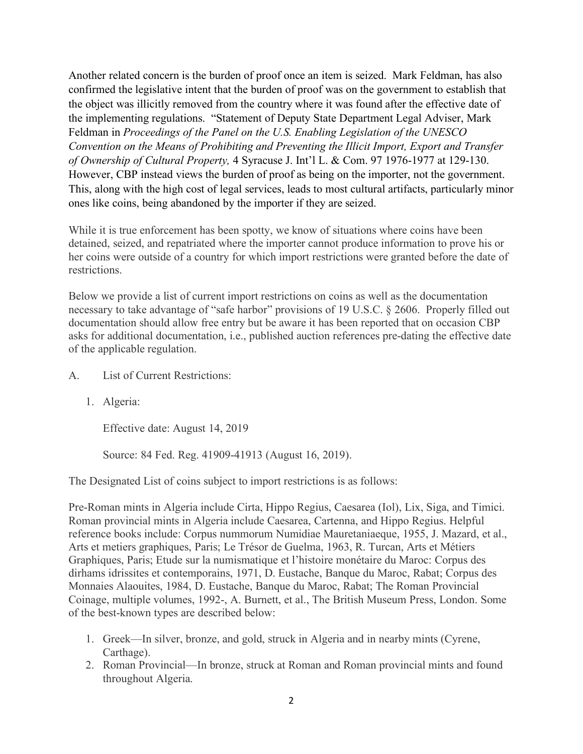Another related concern is the burden of proof once an item is seized. Mark Feldman, has also confirmed the legislative intent that the burden of proof was on the government to establish that the object was illicitly removed from the country where it was found after the effective date of the implementing regulations. "Statement of Deputy State Department Legal Adviser, Mark Feldman in *Proceedings of the Panel on the U.S. Enabling Legislation of the UNESCO Convention on the Means of Prohibiting and Preventing the Illicit Import, Export and Transfer of Ownership of Cultural Property,* 4 Syracuse J. Int'l L. & Com. 97 1976-1977 at 129-130. However, CBP instead views the burden of proof as being on the importer, not the government. This, along with the high cost of legal services, leads to most cultural artifacts, particularly minor ones like coins, being abandoned by the importer if they are seized.

While it is true enforcement has been spotty, we know of situations where coins have been detained, seized, and repatriated where the importer cannot produce information to prove his or her coins were outside of a country for which import restrictions were granted before the date of restrictions.

Below we provide a list of current import restrictions on coins as well as the documentation necessary to take advantage of "safe harbor" provisions of 19 U.S.C. § 2606. Properly filled out documentation should allow free entry but be aware it has been reported that on occasion CBP asks for additional documentation, i.e., published auction references pre-dating the effective date of the applicable regulation.

- A. List of Current Restrictions:
	- 1. Algeria:

Effective date: August 14, 2019

Source: 84 Fed. Reg. 41909-41913 (August 16, 2019).

The Designated List of coins subject to import restrictions is as follows:

Pre-Roman mints in Algeria include Cirta, Hippo Regius, Caesarea (Iol), Lix, Siga, and Timici. Roman provincial mints in Algeria include Caesarea, Cartenna, and Hippo Regius. Helpful reference books include: Corpus nummorum Numidiae Mauretaniaeque, 1955, J. Mazard, et al., Arts et metiers graphiques, Paris; Le Trésor de Guelma, 1963, R. Turcan, Arts et Métiers Graphiques, Paris; Etude sur la numismatique et l'histoire monétaire du Maroc: Corpus des dirhams idrissites et contemporains, 1971, D. Eustache, Banque du Maroc, Rabat; Corpus des Monnaies Alaouites, 1984, D. Eustache, Banque du Maroc, Rabat; The Roman Provincial Coinage, multiple volumes, 1992-, A. Burnett, et al., The British Museum Press, London. Some of the best-known types are described below:

- 1. Greek—In silver, bronze, and gold, struck in Algeria and in nearby mints (Cyrene, Carthage).
- 2. Roman Provincial—In bronze, struck at Roman and Roman provincial mints and found throughout Algeria.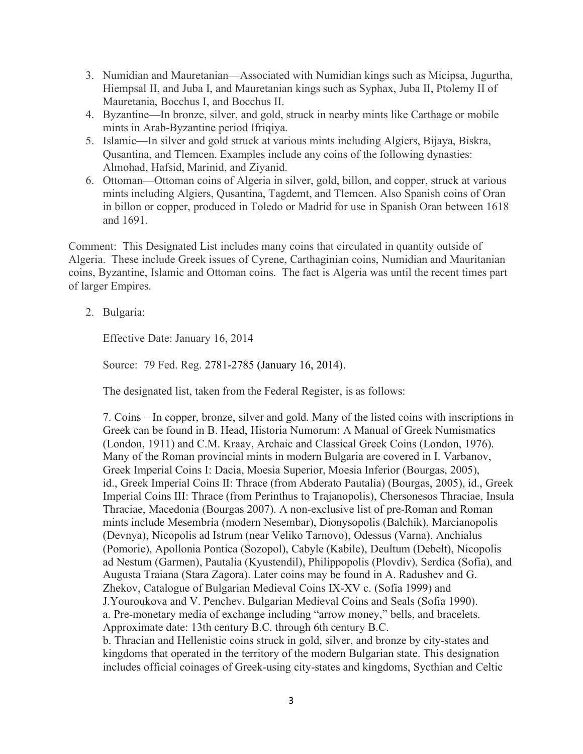- 3. Numidian and Mauretanian—Associated with Numidian kings such as Micipsa, Jugurtha, Hiempsal II, and Juba I, and Mauretanian kings such as Syphax, Juba II, Ptolemy II of Mauretania, Bocchus I, and Bocchus II.
- 4. Byzantine—In bronze, silver, and gold, struck in nearby mints like Carthage or mobile mints in Arab-Byzantine period Ifriqiya.
- 5. Islamic—In silver and gold struck at various mints including Algiers, Bijaya, Biskra, Qusantina, and Tlemcen. Examples include any coins of the following dynasties: Almohad, Hafsid, Marinid, and Ziyanid.
- 6. Ottoman—Ottoman coins of Algeria in silver, gold, billon, and copper, struck at various mints including Algiers, Qusantina, Tagdemt, and Tlemcen. Also Spanish coins of Oran in billon or copper, produced in Toledo or Madrid for use in Spanish Oran between 1618 and 1691.

Comment: This Designated List includes many coins that circulated in quantity outside of Algeria. These include Greek issues of Cyrene, Carthaginian coins, Numidian and Mauritanian coins, Byzantine, Islamic and Ottoman coins. The fact is Algeria was until the recent times part of larger Empires.

2. Bulgaria:

Effective Date: January 16, 2014

Source: 79 Fed. Reg. 2781-2785 (January 16, 2014).

The designated list, taken from the Federal Register, is as follows:

7. Coins – In copper, bronze, silver and gold. Many of the listed coins with inscriptions in Greek can be found in B. Head, Historia Numorum: A Manual of Greek Numismatics (London, 1911) and C.M. Kraay, Archaic and Classical Greek Coins (London, 1976). Many of the Roman provincial mints in modern Bulgaria are covered in I. Varbanov, Greek Imperial Coins I: Dacia, Moesia Superior, Moesia Inferior (Bourgas, 2005), id., Greek Imperial Coins II: Thrace (from Abderato Pautalia) (Bourgas, 2005), id., Greek Imperial Coins III: Thrace (from Perinthus to Trajanopolis), Chersonesos Thraciae, Insula Thraciae, Macedonia (Bourgas 2007). A non-exclusive list of pre-Roman and Roman mints include Mesembria (modern Nesembar), Dionysopolis (Balchik), Marcianopolis (Devnya), Nicopolis ad Istrum (near Veliko Tarnovo), Odessus (Varna), Anchialus (Pomorie), Apollonia Pontica (Sozopol), Cabyle (Kabile), Deultum (Debelt), Nicopolis ad Nestum (Garmen), Pautalia (Kyustendil), Philippopolis (Plovdiv), Serdica (Sofia), and Augusta Traiana (Stara Zagora). Later coins may be found in A. Radushev and G. Zhekov, Catalogue of Bulgarian Medieval Coins IX-XV c. (Sofia 1999) and J.Youroukova and V. Penchev, Bulgarian Medieval Coins and Seals (Sofia 1990). a. Pre-monetary media of exchange including "arrow money," bells, and bracelets. Approximate date: 13th century B.C. through 6th century B.C. b. Thracian and Hellenistic coins struck in gold, silver, and bronze by city-states and kingdoms that operated in the territory of the modern Bulgarian state. This designation

includes official coinages of Greek-using city-states and kingdoms, Sycthian and Celtic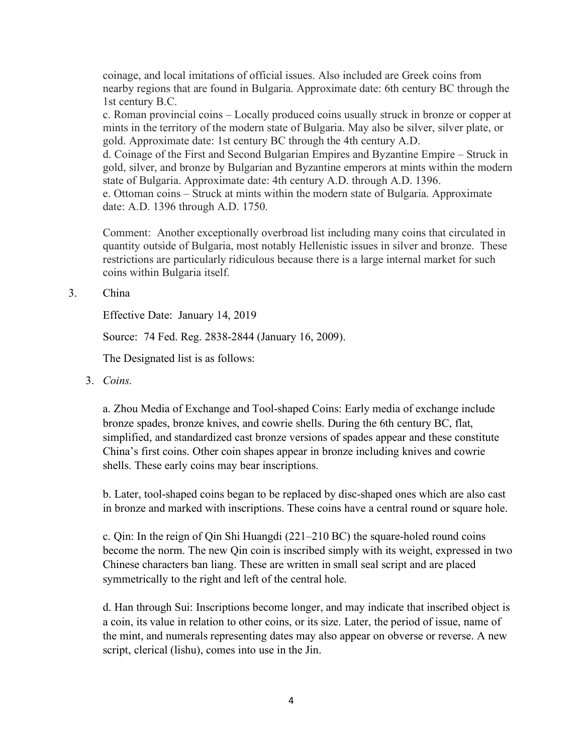coinage, and local imitations of official issues. Also included are Greek coins from nearby regions that are found in Bulgaria. Approximate date: 6th century BC through the 1st century B.C.

c. Roman provincial coins – Locally produced coins usually struck in bronze or copper at mints in the territory of the modern state of Bulgaria. May also be silver, silver plate, or gold. Approximate date: 1st century BC through the 4th century A.D.

d. Coinage of the First and Second Bulgarian Empires and Byzantine Empire – Struck in gold, silver, and bronze by Bulgarian and Byzantine emperors at mints within the modern state of Bulgaria. Approximate date: 4th century A.D. through A.D. 1396.

e. Ottoman coins – Struck at mints within the modern state of Bulgaria. Approximate date: A.D. 1396 through A.D. 1750.

Comment: Another exceptionally overbroad list including many coins that circulated in quantity outside of Bulgaria, most notably Hellenistic issues in silver and bronze. These restrictions are particularly ridiculous because there is a large internal market for such coins within Bulgaria itself.

3. China

Effective Date: January 14, 2019

Source: 74 Fed. Reg. 2838-2844 (January 16, 2009).

The Designated list is as follows:

3. *Coins.*

a. Zhou Media of Exchange and Tool-shaped Coins: Early media of exchange include bronze spades, bronze knives, and cowrie shells. During the 6th century BC, flat, simplified, and standardized cast bronze versions of spades appear and these constitute China's first coins. Other coin shapes appear in bronze including knives and cowrie shells. These early coins may bear inscriptions.

b. Later, tool-shaped coins began to be replaced by disc-shaped ones which are also cast in bronze and marked with inscriptions. These coins have a central round or square hole.

c. Qin: In the reign of Qin Shi Huangdi (221–210 BC) the square-holed round coins become the norm. The new Qin coin is inscribed simply with its weight, expressed in two Chinese characters ban liang. These are written in small seal script and are placed symmetrically to the right and left of the central hole.

d. Han through Sui: Inscriptions become longer, and may indicate that inscribed object is a coin, its value in relation to other coins, or its size. Later, the period of issue, name of the mint, and numerals representing dates may also appear on obverse or reverse. A new script, clerical (lishu), comes into use in the Jin.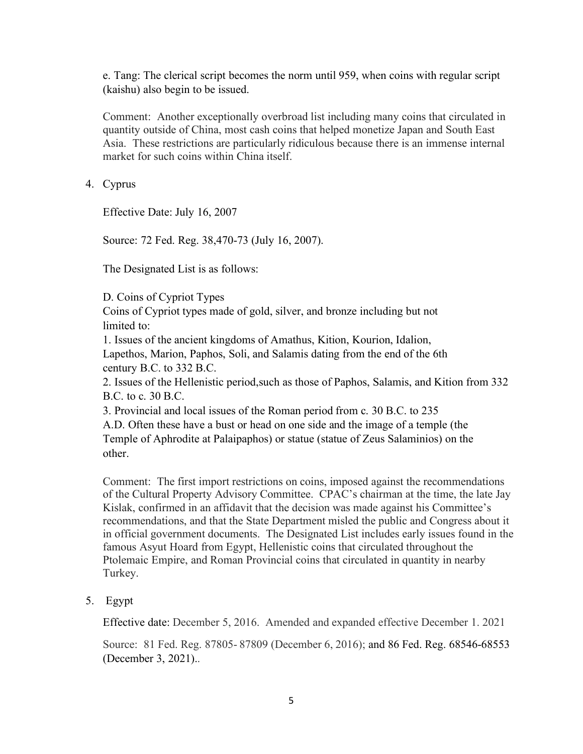e. Tang: The clerical script becomes the norm until 959, when coins with regular script (kaishu) also begin to be issued.

Comment: Another exceptionally overbroad list including many coins that circulated in quantity outside of China, most cash coins that helped monetize Japan and South East Asia. These restrictions are particularly ridiculous because there is an immense internal market for such coins within China itself.

4. Cyprus

Effective Date: July 16, 2007

Source: 72 Fed. Reg. 38,470-73 (July 16, 2007).

The Designated List is as follows:

D. Coins of Cypriot Types

Coins of Cypriot types made of gold, silver, and bronze including but not limited to:

1. Issues of the ancient kingdoms of Amathus, Kition, Kourion, Idalion, Lapethos, Marion, Paphos, Soli, and Salamis dating from the end of the 6th century B.C. to 332 B.C.

2. Issues of the Hellenistic period,such as those of Paphos, Salamis, and Kition from 332 B.C. to c. 30 B.C.

3. Provincial and local issues of the Roman period from c. 30 B.C. to 235

A.D. Often these have a bust or head on one side and the image of a temple (the Temple of Aphrodite at Palaipaphos) or statue (statue of Zeus Salaminios) on the other.

Comment: The first import restrictions on coins, imposed against the recommendations of the Cultural Property Advisory Committee. CPAC's chairman at the time, the late Jay Kislak, confirmed in an affidavit that the decision was made against his Committee's recommendations, and that the State Department misled the public and Congress about it in official government documents. The Designated List includes early issues found in the famous Asyut Hoard from Egypt, Hellenistic coins that circulated throughout the Ptolemaic Empire, and Roman Provincial coins that circulated in quantity in nearby Turkey.

5. Egypt

Effective date: December 5, 2016. Amended and expanded effective December 1. 2021

Source: 81 Fed. Reg. 87805- 87809 (December 6, 2016); and 86 Fed. Reg. 68546-68553 (December 3, 2021)..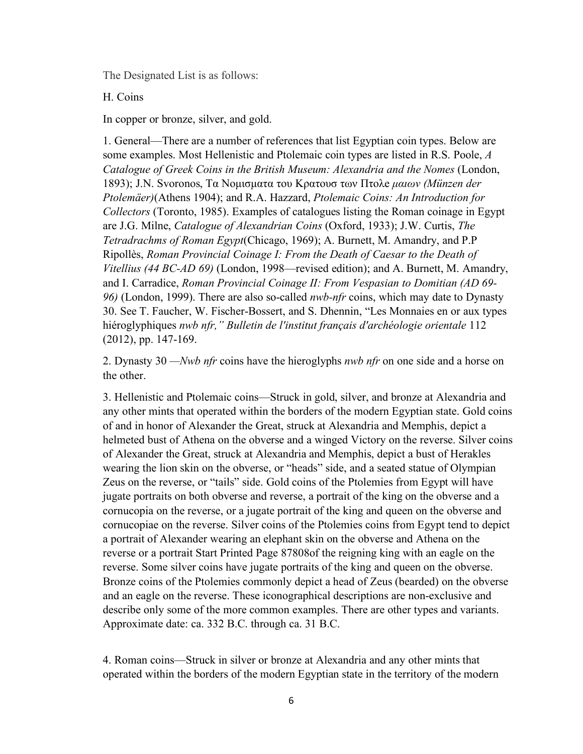The Designated List is as follows:

H. Coins

In copper or bronze, silver, and gold.

1. General—There are a number of references that list Egyptian coin types. Below are some examples. Most Hellenistic and Ptolemaic coin types are listed in R.S. Poole, *A Catalogue of Greek Coins in the British Museum: Alexandria and the Nomes* (London, 1893); J.N. Svoronos, Τα Nομισματα του Κρατουσ των Πτολe *μαιων (Münzen der Ptolemäer)*(Athens 1904); and R.A. Hazzard, *Ptolemaic Coins: An Introduction for Collectors* (Toronto, 1985). Examples of catalogues listing the Roman coinage in Egypt are J.G. Milne, *Catalogue of Alexandrian Coins* (Oxford, 1933); J.W. Curtis, *The Tetradrachms of Roman Egypt*(Chicago, 1969); A. Burnett, M. Amandry, and P.P Ripollès, *Roman Provincial Coinage I: From the Death of Caesar to the Death of Vitellius (44 BC-AD 69)* (London, 1998—revised edition); and A. Burnett, M. Amandry, and I. Carradice, *Roman Provincial Coinage II: From Vespasian to Domitian (AD 69- 96)* (London, 1999). There are also so-called *nwb-nfr* coins, which may date to Dynasty 30. See T. Faucher, W. Fischer-Bossert, and S. Dhennin, "Les Monnaies en or aux types hiéroglyphiques *nwb nfr," Bulletin de l'institut français d'archéologie orientale* 112 (2012), pp. 147-169.

2. Dynasty 30 *—Nwb nfr* coins have the hieroglyphs *nwb nfr* on one side and a horse on the other.

3. Hellenistic and Ptolemaic coins—Struck in gold, silver, and bronze at Alexandria and any other mints that operated within the borders of the modern Egyptian state. Gold coins of and in honor of Alexander the Great, struck at Alexandria and Memphis, depict a helmeted bust of Athena on the obverse and a winged Victory on the reverse. Silver coins of Alexander the Great, struck at Alexandria and Memphis, depict a bust of Herakles wearing the lion skin on the obverse, or "heads" side, and a seated statue of Olympian Zeus on the reverse, or "tails" side. Gold coins of the Ptolemies from Egypt will have jugate portraits on both obverse and reverse, a portrait of the king on the obverse and a cornucopia on the reverse, or a jugate portrait of the king and queen on the obverse and cornucopiae on the reverse. Silver coins of the Ptolemies coins from Egypt tend to depict a portrait of Alexander wearing an elephant skin on the obverse and Athena on the reverse or a portrait Start Printed Page 87808of the reigning king with an eagle on the reverse. Some silver coins have jugate portraits of the king and queen on the obverse. Bronze coins of the Ptolemies commonly depict a head of Zeus (bearded) on the obverse and an eagle on the reverse. These iconographical descriptions are non-exclusive and describe only some of the more common examples. There are other types and variants. Approximate date: ca. 332 B.C. through ca. 31 B.C.

4. Roman coins—Struck in silver or bronze at Alexandria and any other mints that operated within the borders of the modern Egyptian state in the territory of the modern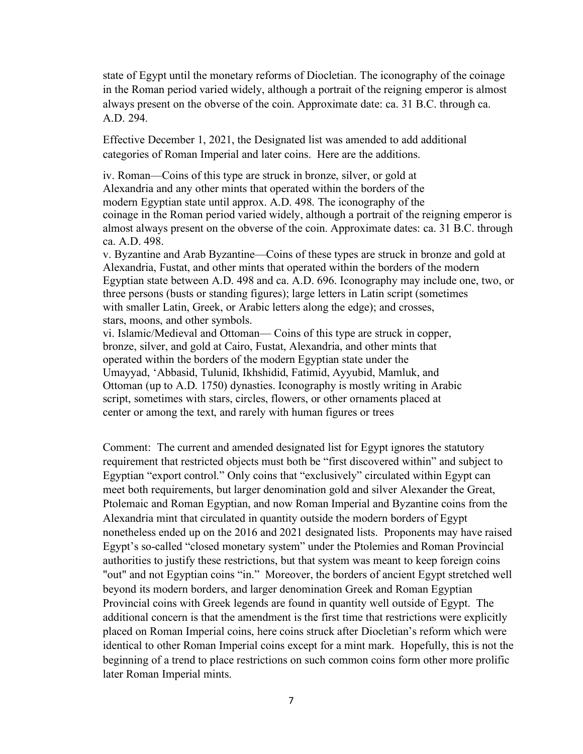state of Egypt until the monetary reforms of Diocletian. The iconography of the coinage in the Roman period varied widely, although a portrait of the reigning emperor is almost always present on the obverse of the coin. Approximate date: ca. 31 B.C. through ca. A.D. 294.

Effective December 1, 2021, the Designated list was amended to add additional categories of Roman Imperial and later coins. Here are the additions.

iv. Roman—Coins of this type are struck in bronze, silver, or gold at Alexandria and any other mints that operated within the borders of the modern Egyptian state until approx. A.D. 498. The iconography of the coinage in the Roman period varied widely, although a portrait of the reigning emperor is almost always present on the obverse of the coin. Approximate dates: ca. 31 B.C. through ca. A.D. 498.

v. Byzantine and Arab Byzantine—Coins of these types are struck in bronze and gold at Alexandria, Fustat, and other mints that operated within the borders of the modern Egyptian state between A.D. 498 and ca. A.D. 696. Iconography may include one, two, or three persons (busts or standing figures); large letters in Latin script (sometimes with smaller Latin, Greek, or Arabic letters along the edge); and crosses, stars, moons, and other symbols.

vi. Islamic/Medieval and Ottoman— Coins of this type are struck in copper, bronze, silver, and gold at Cairo, Fustat, Alexandria, and other mints that operated within the borders of the modern Egyptian state under the Umayyad, 'Abbasid, Tulunid, Ikhshidid, Fatimid, Ayyubid, Mamluk, and Ottoman (up to A.D. 1750) dynasties. Iconography is mostly writing in Arabic script, sometimes with stars, circles, flowers, or other ornaments placed at center or among the text, and rarely with human figures or trees

Comment: The current and amended designated list for Egypt ignores the statutory requirement that restricted objects must both be "first discovered within" and subject to Egyptian "export control." Only coins that "exclusively" circulated within Egypt can meet both requirements, but larger denomination gold and silver Alexander the Great, Ptolemaic and Roman Egyptian, and now Roman Imperial and Byzantine coins from the Alexandria mint that circulated in quantity outside the modern borders of Egypt nonetheless ended up on the 2016 and 2021 designated lists. Proponents may have raised Egypt's so-called "closed monetary system" under the Ptolemies and Roman Provincial authorities to justify these restrictions, but that system was meant to keep foreign coins "out" and not Egyptian coins "in." Moreover, the borders of ancient Egypt stretched well beyond its modern borders, and larger denomination Greek and Roman Egyptian Provincial coins with Greek legends are found in quantity well outside of Egypt. The additional concern is that the amendment is the first time that restrictions were explicitly placed on Roman Imperial coins, here coins struck after Diocletian's reform which were identical to other Roman Imperial coins except for a mint mark. Hopefully, this is not the beginning of a trend to place restrictions on such common coins form other more prolific later Roman Imperial mints.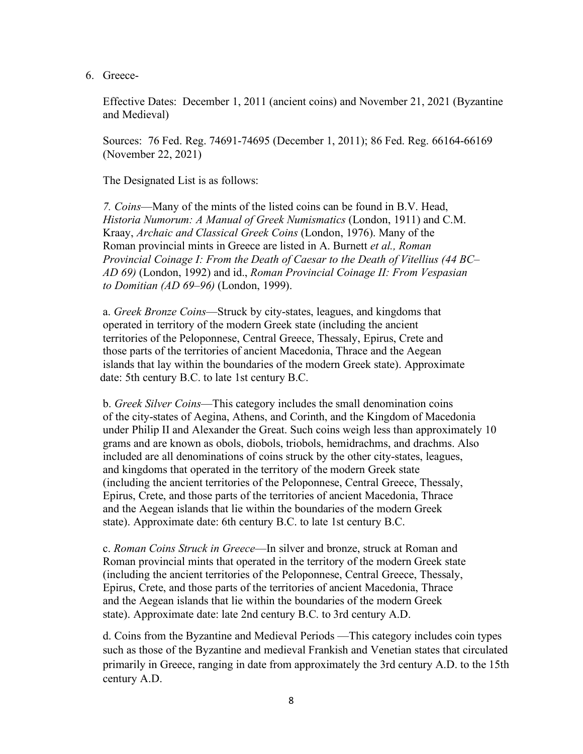6. Greece-

Effective Dates: December 1, 2011 (ancient coins) and November 21, 2021 (Byzantine and Medieval)

Sources: 76 Fed. Reg. 74691-74695 (December 1, 2011); 86 Fed. Reg. 66164-66169 (November 22, 2021)

The Designated List is as follows:

*7. Coins*—Many of the mints of the listed coins can be found in B.V. Head, *Historia Numorum: A Manual of Greek Numismatics* (London, 1911) and C.M. Kraay, *Archaic and Classical Greek Coins* (London, 1976). Many of the Roman provincial mints in Greece are listed in A. Burnett *et al., Roman Provincial Coinage I: From the Death of Caesar to the Death of Vitellius (44 BC– AD 69)* (London, 1992) and id., *Roman Provincial Coinage II: From Vespasian to Domitian (AD 69–96)* (London, 1999).

a. *Greek Bronze Coins*—Struck by city-states, leagues, and kingdoms that operated in territory of the modern Greek state (including the ancient territories of the Peloponnese, Central Greece, Thessaly, Epirus, Crete and those parts of the territories of ancient Macedonia, Thrace and the Aegean islands that lay within the boundaries of the modern Greek state). Approximate date: 5th century B.C. to late 1st century B.C.

b. *Greek Silver Coins*—This category includes the small denomination coins of the city-states of Aegina, Athens, and Corinth, and the Kingdom of Macedonia under Philip II and Alexander the Great. Such coins weigh less than approximately 10 grams and are known as obols, diobols, triobols, hemidrachms, and drachms. Also included are all denominations of coins struck by the other city-states, leagues, and kingdoms that operated in the territory of the modern Greek state (including the ancient territories of the Peloponnese, Central Greece, Thessaly, Epirus, Crete, and those parts of the territories of ancient Macedonia, Thrace and the Aegean islands that lie within the boundaries of the modern Greek state). Approximate date: 6th century B.C. to late 1st century B.C.

c. *Roman Coins Struck in Greece*—In silver and bronze, struck at Roman and Roman provincial mints that operated in the territory of the modern Greek state (including the ancient territories of the Peloponnese, Central Greece, Thessaly, Epirus, Crete, and those parts of the territories of ancient Macedonia, Thrace and the Aegean islands that lie within the boundaries of the modern Greek state). Approximate date: late 2nd century B.C. to 3rd century A.D.

d. Coins from the Byzantine and Medieval Periods —This category includes coin types such as those of the Byzantine and medieval Frankish and Venetian states that circulated primarily in Greece, ranging in date from approximately the 3rd century A.D. to the 15th century A.D.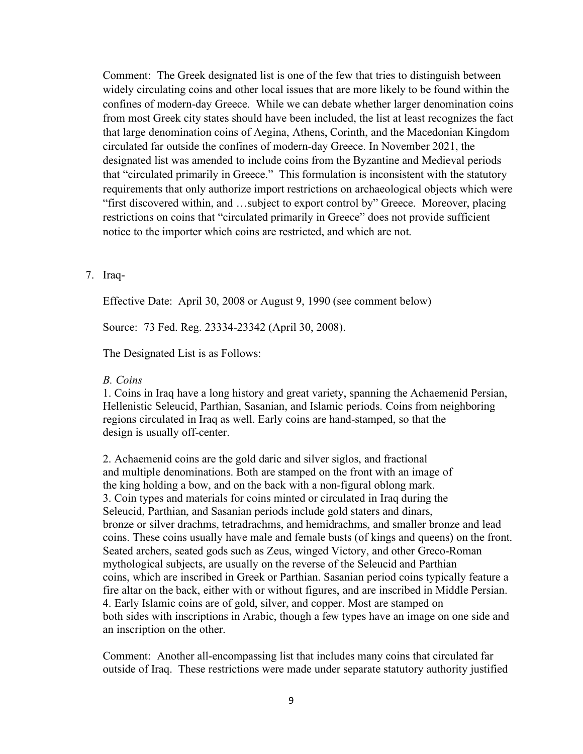Comment: The Greek designated list is one of the few that tries to distinguish between widely circulating coins and other local issues that are more likely to be found within the confines of modern-day Greece. While we can debate whether larger denomination coins from most Greek city states should have been included, the list at least recognizes the fact that large denomination coins of Aegina, Athens, Corinth, and the Macedonian Kingdom circulated far outside the confines of modern-day Greece. In November 2021, the designated list was amended to include coins from the Byzantine and Medieval periods that "circulated primarily in Greece." This formulation is inconsistent with the statutory requirements that only authorize import restrictions on archaeological objects which were "first discovered within, and …subject to export control by" Greece. Moreover, placing restrictions on coins that "circulated primarily in Greece" does not provide sufficient notice to the importer which coins are restricted, and which are not.

### 7. Iraq-

Effective Date: April 30, 2008 or August 9, 1990 (see comment below)

Source: 73 Fed. Reg. 23334-23342 (April 30, 2008).

The Designated List is as Follows:

#### *B. Coins*

1. Coins in Iraq have a long history and great variety, spanning the Achaemenid Persian, Hellenistic Seleucid, Parthian, Sasanian, and Islamic periods. Coins from neighboring regions circulated in Iraq as well. Early coins are hand-stamped, so that the design is usually off-center.

2. Achaemenid coins are the gold daric and silver siglos, and fractional and multiple denominations. Both are stamped on the front with an image of the king holding a bow, and on the back with a non-figural oblong mark. 3. Coin types and materials for coins minted or circulated in Iraq during the Seleucid, Parthian, and Sasanian periods include gold staters and dinars, bronze or silver drachms, tetradrachms, and hemidrachms, and smaller bronze and lead coins. These coins usually have male and female busts (of kings and queens) on the front. Seated archers, seated gods such as Zeus, winged Victory, and other Greco-Roman mythological subjects, are usually on the reverse of the Seleucid and Parthian coins, which are inscribed in Greek or Parthian. Sasanian period coins typically feature a fire altar on the back, either with or without figures, and are inscribed in Middle Persian. 4. Early Islamic coins are of gold, silver, and copper. Most are stamped on both sides with inscriptions in Arabic, though a few types have an image on one side and an inscription on the other.

Comment: Another all-encompassing list that includes many coins that circulated far outside of Iraq. These restrictions were made under separate statutory authority justified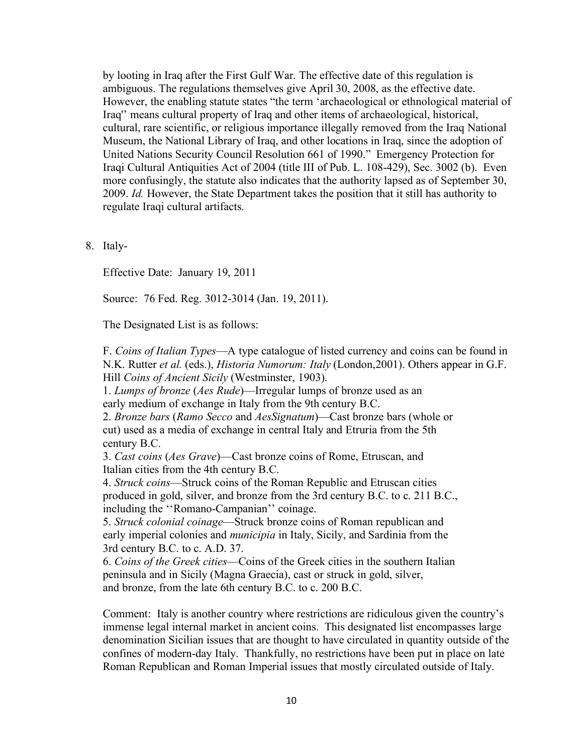by looting in Iraq after the First Gulf War. The effective date of this regulation is ambiguous. The regulations themselves give April 30, 2008, as the effective date. However, the enabling statute states "the term 'archaeological or ethnological material of Iraq'' means cultural property of Iraq and other items of archaeological, historical, cultural, rare scientific, or religious importance illegally removed from the Iraq National Museum, the National Library of Iraq, and other locations in Iraq, since the adoption of United Nations Security Council Resolution 661 of 1990." Emergency Protection for Iraqi Cultural Antiquities Act of 2004 (title III of Pub. L. 108-429), Sec. 3002 (b). Even more confusingly, the statute also indicates that the authority lapsed as of September 30, 2009. *Id.* However, the State Department takes the position that it still has authority to regulate Iraqi cultural artifacts.

8. Italy-

Effective Date: January 19, 2011

Source: 76 Fed. Reg. 3012-3014 (Jan. 19, 2011).

The Designated List is as follows:

F. *Coins of Italian Types*—A type catalogue of listed currency and coins can be found in N.K. Rutter *et al.* (eds.), *Historia Numorum: Italy* (London,2001). Others appear in G.F. Hill *Coins of Ancient Sicily* (Westminster, 1903).

1. *Lumps of bronze* (*Aes Rude*)—Irregular lumps of bronze used as an early medium of exchange in Italy from the 9th century B.C.

2. *Bronze bars* (*Ramo Secco* and *AesSignatum*)—Cast bronze bars (whole or cut) used as a media of exchange in central Italy and Etruria from the 5th century B.C.

3. *Cast coins* (*Aes Grave*)—Cast bronze coins of Rome, Etruscan, and Italian cities from the 4th century B.C.

4. *Struck coins*—Struck coins of the Roman Republic and Etruscan cities produced in gold, silver, and bronze from the 3rd century B.C. to c. 211 B.C., including the ''Romano-Campanian'' coinage.

5. *Struck colonial coinage*—Struck bronze coins of Roman republican and early imperial colonies and *municipia* in Italy, Sicily, and Sardinia from the 3rd century B.C. to c. A.D. 37.

6. *Coins of the Greek cities*—Coins of the Greek cities in the southern Italian peninsula and in Sicily (Magna Graecia), cast or struck in gold, silver, and bronze, from the late 6th century B.C. to c. 200 B.C.

Comment: Italy is another country where restrictions are ridiculous given the country's immense legal internal market in ancient coins. This designated list encompasses large denomination Sicilian issues that are thought to have circulated in quantity outside of the confines of modern-day Italy. Thankfully, no restrictions have been put in place on late Roman Republican and Roman Imperial issues that mostly circulated outside of Italy.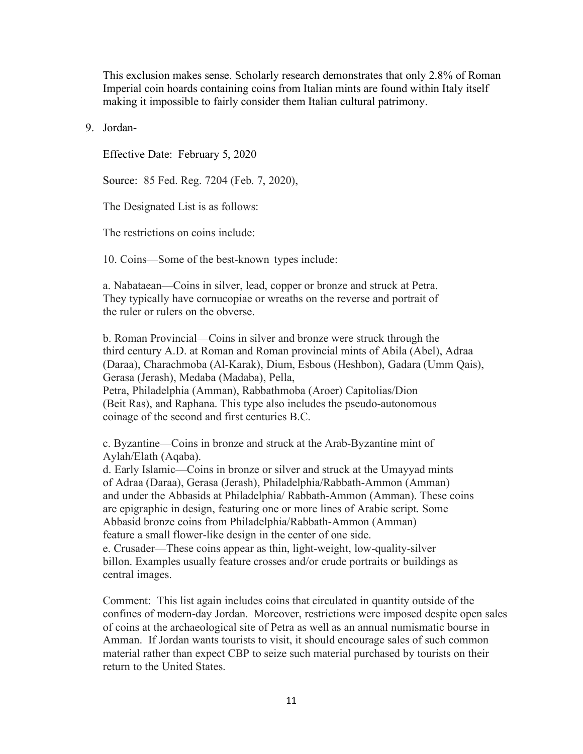This exclusion makes sense. Scholarly research demonstrates that only 2.8% of Roman Imperial coin hoards containing coins from Italian mints are found within Italy itself making it impossible to fairly consider them Italian cultural patrimony.

9. Jordan-

Effective Date: February 5, 2020

Source: 85 Fed. Reg. 7204 (Feb. 7, 2020),

The Designated List is as follows:

The restrictions on coins include:

10. Coins—Some of the best-known types include:

a. Nabataean—Coins in silver, lead, copper or bronze and struck at Petra. They typically have cornucopiae or wreaths on the reverse and portrait of the ruler or rulers on the obverse.

b. Roman Provincial—Coins in silver and bronze were struck through the third century A.D. at Roman and Roman provincial mints of Abila (Abel), Adraa (Daraa), Charachmoba (Al-Karak), Dium, Esbous (Heshbon), Gadara (Umm Qais), Gerasa (Jerash), Medaba (Madaba), Pella, Petra, Philadelphia (Amman), Rabbathmoba (Aroer) Capitolias/Dion (Beit Ras), and Raphana. This type also includes the pseudo-autonomous coinage of the second and first centuries B.C.

c. Byzantine—Coins in bronze and struck at the Arab-Byzantine mint of Aylah/Elath (Aqaba).

d. Early Islamic—Coins in bronze or silver and struck at the Umayyad mints of Adraa (Daraa), Gerasa (Jerash), Philadelphia/Rabbath-Ammon (Amman) and under the Abbasids at Philadelphia/ Rabbath-Ammon (Amman). These coins are epigraphic in design, featuring one or more lines of Arabic script. Some Abbasid bronze coins from Philadelphia/Rabbath-Ammon (Amman) feature a small flower-like design in the center of one side. e. Crusader—These coins appear as thin, light-weight, low-quality-silver billon. Examples usually feature crosses and/or crude portraits or buildings as central images.

Comment: This list again includes coins that circulated in quantity outside of the confines of modern-day Jordan. Moreover, restrictions were imposed despite open sales of coins at the archaeological site of Petra as well as an annual numismatic bourse in Amman. If Jordan wants tourists to visit, it should encourage sales of such common material rather than expect CBP to seize such material purchased by tourists on their return to the United States.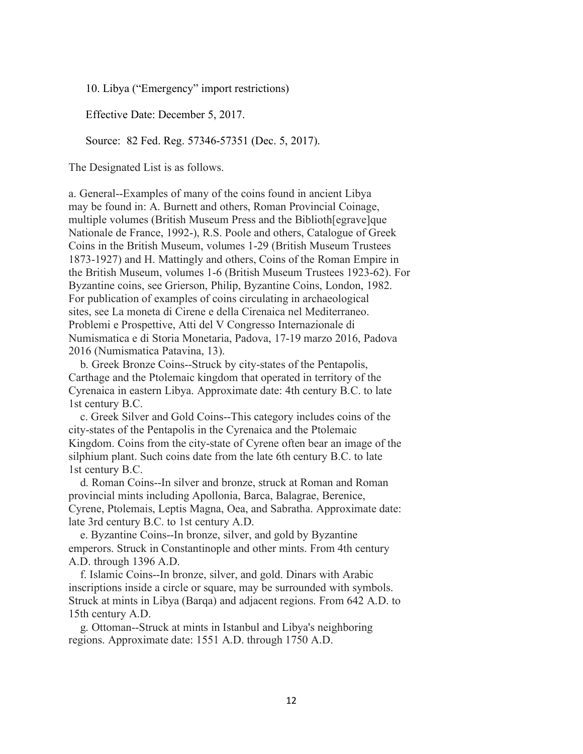10. Libya ("Emergency" import restrictions)

Effective Date: December 5, 2017.

Source: 82 Fed. Reg. 57346-57351 (Dec. 5, 2017).

The Designated List is as follows.

a. General--Examples of many of the coins found in ancient Libya may be found in: A. Burnett and others, Roman Provincial Coinage, multiple volumes (British Museum Press and the Biblioth[egrave]que Nationale de France, 1992-), R.S. Poole and others, Catalogue of Greek Coins in the British Museum, volumes 1-29 (British Museum Trustees 1873-1927) and H. Mattingly and others, Coins of the Roman Empire in the British Museum, volumes 1-6 (British Museum Trustees 1923-62). For Byzantine coins, see Grierson, Philip, Byzantine Coins, London, 1982. For publication of examples of coins circulating in archaeological sites, see La moneta di Cirene e della Cirenaica nel Mediterraneo. Problemi e Prospettive, Atti del V Congresso Internazionale di Numismatica e di Storia Monetaria, Padova, 17-19 marzo 2016, Padova 2016 (Numismatica Patavina, 13).

 b. Greek Bronze Coins--Struck by city-states of the Pentapolis, Carthage and the Ptolemaic kingdom that operated in territory of the Cyrenaica in eastern Libya. Approximate date: 4th century B.C. to late 1st century B.C.

 c. Greek Silver and Gold Coins--This category includes coins of the city-states of the Pentapolis in the Cyrenaica and the Ptolemaic Kingdom. Coins from the city-state of Cyrene often bear an image of the silphium plant. Such coins date from the late 6th century B.C. to late 1st century B.C.

 d. Roman Coins--In silver and bronze, struck at Roman and Roman provincial mints including Apollonia, Barca, Balagrae, Berenice, Cyrene, Ptolemais, Leptis Magna, Oea, and Sabratha. Approximate date: late 3rd century B.C. to 1st century A.D.

 e. Byzantine Coins--In bronze, silver, and gold by Byzantine emperors. Struck in Constantinople and other mints. From 4th century A.D. through 1396 A.D.

 f. Islamic Coins--In bronze, silver, and gold. Dinars with Arabic inscriptions inside a circle or square, may be surrounded with symbols. Struck at mints in Libya (Barqa) and adjacent regions. From 642 A.D. to 15th century A.D.

 g. Ottoman--Struck at mints in Istanbul and Libya's neighboring regions. Approximate date: 1551 A.D. through 1750 A.D.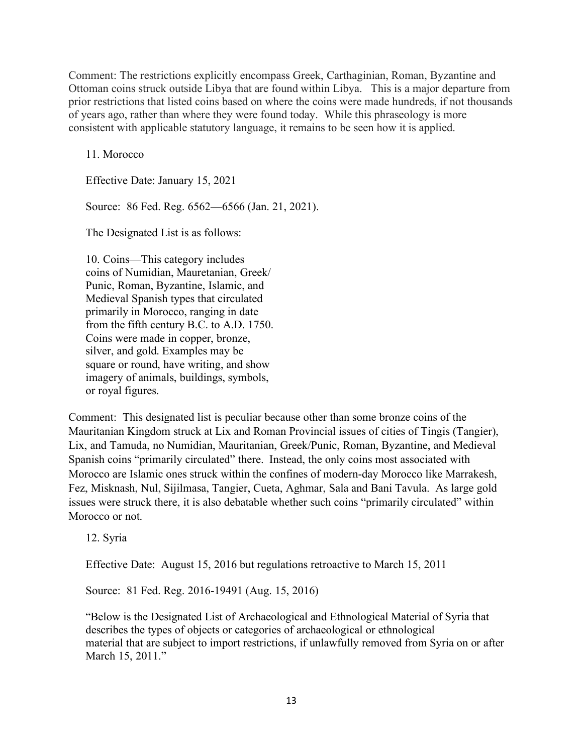Comment: The restrictions explicitly encompass Greek, Carthaginian, Roman, Byzantine and Ottoman coins struck outside Libya that are found within Libya. This is a major departure from prior restrictions that listed coins based on where the coins were made hundreds, if not thousands of years ago, rather than where they were found today. While this phraseology is more consistent with applicable statutory language, it remains to be seen how it is applied.

11. Morocco

Effective Date: January 15, 2021

Source: 86 Fed. Reg. 6562—6566 (Jan. 21, 2021).

The Designated List is as follows:

10. Coins—This category includes coins of Numidian, Mauretanian, Greek/ Punic, Roman, Byzantine, Islamic, and Medieval Spanish types that circulated primarily in Morocco, ranging in date from the fifth century B.C. to A.D. 1750. Coins were made in copper, bronze, silver, and gold. Examples may be square or round, have writing, and show imagery of animals, buildings, symbols, or royal figures.

Comment: This designated list is peculiar because other than some bronze coins of the Mauritanian Kingdom struck at Lix and Roman Provincial issues of cities of Tingis (Tangier), Lix, and Tamuda, no Numidian, Mauritanian, Greek/Punic, Roman, Byzantine, and Medieval Spanish coins "primarily circulated" there. Instead, the only coins most associated with Morocco are Islamic ones struck within the confines of modern-day Morocco like Marrakesh, Fez, Misknash, Nul, Sijilmasa, Tangier, Cueta, Aghmar, Sala and Bani Tavula. As large gold issues were struck there, it is also debatable whether such coins "primarily circulated" within Morocco or not.

12. Syria

Effective Date: August 15, 2016 but regulations retroactive to March 15, 2011

Source: 81 Fed. Reg. 2016-19491 (Aug. 15, 2016)

"Below is the Designated List of Archaeological and Ethnological Material of Syria that describes the types of objects or categories of archaeological or ethnological material that are subject to import restrictions, if unlawfully removed from Syria on or after March 15, 2011."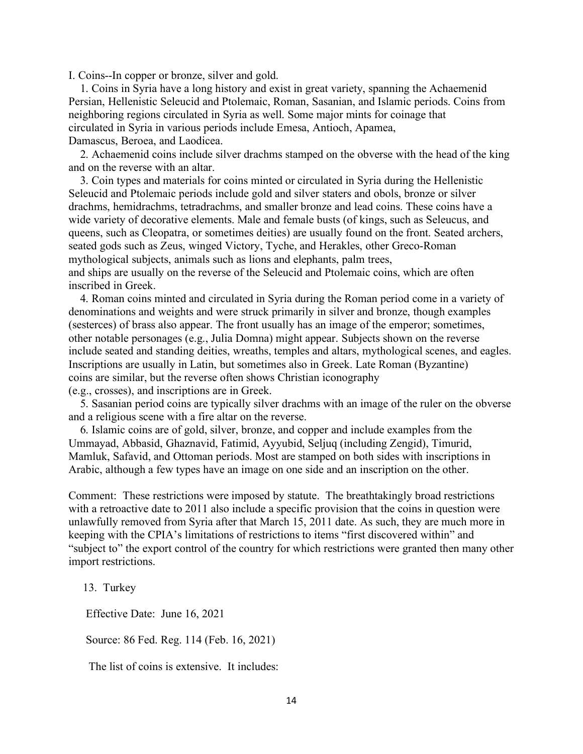I. Coins--In copper or bronze, silver and gold.

 1. Coins in Syria have a long history and exist in great variety, spanning the Achaemenid Persian, Hellenistic Seleucid and Ptolemaic, Roman, Sasanian, and Islamic periods. Coins from neighboring regions circulated in Syria as well. Some major mints for coinage that circulated in Syria in various periods include Emesa, Antioch, Apamea, Damascus, Beroea, and Laodicea.

 2. Achaemenid coins include silver drachms stamped on the obverse with the head of the king and on the reverse with an altar.

 3. Coin types and materials for coins minted or circulated in Syria during the Hellenistic Seleucid and Ptolemaic periods include gold and silver staters and obols, bronze or silver drachms, hemidrachms, tetradrachms, and smaller bronze and lead coins. These coins have a wide variety of decorative elements. Male and female busts (of kings, such as Seleucus, and queens, such as Cleopatra, or sometimes deities) are usually found on the front. Seated archers, seated gods such as Zeus, winged Victory, Tyche, and Herakles, other Greco-Roman mythological subjects, animals such as lions and elephants, palm trees, and ships are usually on the reverse of the Seleucid and Ptolemaic coins, which are often inscribed in Greek.

 4. Roman coins minted and circulated in Syria during the Roman period come in a variety of denominations and weights and were struck primarily in silver and bronze, though examples (sesterces) of brass also appear. The front usually has an image of the emperor; sometimes, other notable personages (e.g., Julia Domna) might appear. Subjects shown on the reverse include seated and standing deities, wreaths, temples and altars, mythological scenes, and eagles. Inscriptions are usually in Latin, but sometimes also in Greek. Late Roman (Byzantine) coins are similar, but the reverse often shows Christian iconography (e.g., crosses), and inscriptions are in Greek.

 5. Sasanian period coins are typically silver drachms with an image of the ruler on the obverse and a religious scene with a fire altar on the reverse.

 6. Islamic coins are of gold, silver, bronze, and copper and include examples from the Ummayad, Abbasid, Ghaznavid, Fatimid, Ayyubid, Seljuq (including Zengid), Timurid, Mamluk, Safavid, and Ottoman periods. Most are stamped on both sides with inscriptions in Arabic, although a few types have an image on one side and an inscription on the other.

Comment: These restrictions were imposed by statute. The breathtakingly broad restrictions with a retroactive date to 2011 also include a specific provision that the coins in question were unlawfully removed from Syria after that March 15, 2011 date. As such, they are much more in keeping with the CPIA's limitations of restrictions to items "first discovered within" and "subject to" the export control of the country for which restrictions were granted then many other import restrictions.

13. Turkey

Effective Date: June 16, 2021

Source: 86 Fed. Reg. 114 (Feb. 16, 2021)

The list of coins is extensive. It includes: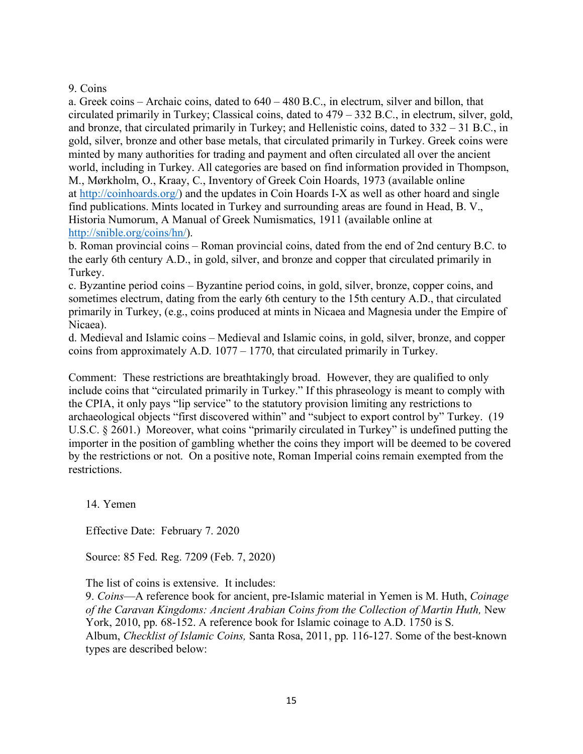## 9. Coins

a. Greek coins – Archaic coins, dated to 640 – 480 B.C., in electrum, silver and billon, that circulated primarily in Turkey; Classical coins, dated to 479 – 332 B.C., in electrum, silver, gold, and bronze, that circulated primarily in Turkey; and Hellenistic coins, dated to 332 – 31 B.C., in gold, silver, bronze and other base metals, that circulated primarily in Turkey. Greek coins were minted by many authorities for trading and payment and often circulated all over the ancient world, including in Turkey. All categories are based on find information provided in Thompson, M., Mørkholm, O., Kraay, C., Inventory of Greek Coin Hoards, 1973 (available online at [http://coinhoards.org/\)](http://coinhoards.org/) and the updates in Coin Hoards I-X as well as other hoard and single find publications. Mints located in Turkey and surrounding areas are found in Head, B. V., Historia Numorum, A Manual of Greek Numismatics, 1911 (available online at [http://snible.org/coins/hn/\)](http://snible.org/coins/hn/).

b. Roman provincial coins – Roman provincial coins, dated from the end of 2nd century B.C. to the early 6th century A.D., in gold, silver, and bronze and copper that circulated primarily in Turkey.

c. Byzantine period coins – Byzantine period coins, in gold, silver, bronze, copper coins, and sometimes electrum, dating from the early 6th century to the 15th century A.D., that circulated primarily in Turkey, (e.g., coins produced at mints in Nicaea and Magnesia under the Empire of Nicaea).

d. Medieval and Islamic coins – Medieval and Islamic coins, in gold, silver, bronze, and copper coins from approximately A.D. 1077 – 1770, that circulated primarily in Turkey.

Comment: These restrictions are breathtakingly broad. However, they are qualified to only include coins that "circulated primarily in Turkey." If this phraseology is meant to comply with the CPIA, it only pays "lip service" to the statutory provision limiting any restrictions to archaeological objects "first discovered within" and "subject to export control by" Turkey. (19 U.S.C. § 2601.) Moreover, what coins "primarily circulated in Turkey" is undefined putting the importer in the position of gambling whether the coins they import will be deemed to be covered by the restrictions or not. On a positive note, Roman Imperial coins remain exempted from the restrictions.

14. Yemen

Effective Date: February 7. 2020

Source: 85 Fed. Reg. 7209 (Feb. 7, 2020)

The list of coins is extensive. It includes:

9. *Coins*—A reference book for ancient, pre-Islamic material in Yemen is M. Huth, *Coinage of the Caravan Kingdoms: Ancient Arabian Coins from the Collection of Martin Huth,* New York, 2010, pp. 68-152. A reference book for Islamic coinage to A.D. 1750 is S. Album, *Checklist of Islamic Coins,* Santa Rosa, 2011, pp. 116-127. Some of the best-known types are described below: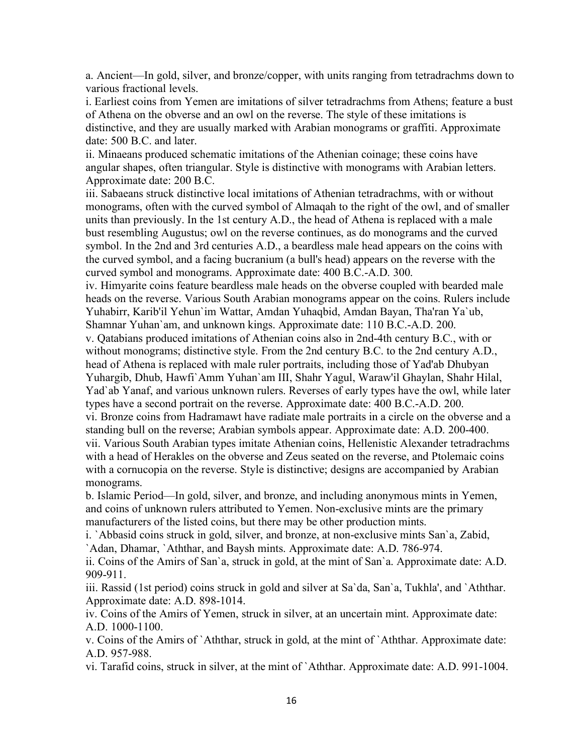a. Ancient—In gold, silver, and bronze/copper, with units ranging from tetradrachms down to various fractional levels.

i. Earliest coins from Yemen are imitations of silver tetradrachms from Athens; feature a bust of Athena on the obverse and an owl on the reverse. The style of these imitations is distinctive, and they are usually marked with Arabian monograms or graffiti. Approximate date: 500 B.C. and later.

ii. Minaeans produced schematic imitations of the Athenian coinage; these coins have angular shapes, often triangular. Style is distinctive with monograms with Arabian letters. Approximate date: 200 B.C.

iii. Sabaeans struck distinctive local imitations of Athenian tetradrachms, with or without monograms, often with the curved symbol of Almaqah to the right of the owl, and of smaller units than previously. In the 1st century A.D., the head of Athena is replaced with a male bust resembling Augustus; owl on the reverse continues, as do monograms and the curved symbol. In the 2nd and 3rd centuries A.D., a beardless male head appears on the coins with the curved symbol, and a facing bucranium (a bull's head) appears on the reverse with the curved symbol and monograms. Approximate date: 400 B.C.-A.D. 300.

iv. Himyarite coins feature beardless male heads on the obverse coupled with bearded male heads on the reverse. Various South Arabian monograms appear on the coins. Rulers include Yuhabirr, Karib'il Yehun`im Wattar, Amdan Yuhaqbid, Amdan Bayan, Tha'ran Ya`ub, Shamnar Yuhan`am, and unknown kings. Approximate date: 110 B.C.-A.D. 200.

v. Qatabians produced imitations of Athenian coins also in 2nd-4th century B.C., with or without monograms; distinctive style. From the 2nd century B.C. to the 2nd century A.D., head of Athena is replaced with male ruler portraits, including those of Yad'ab Dhubyan Yuhargib, Dhub, Hawfi`Amm Yuhan`am III, Shahr Yagul, Waraw'il Ghaylan, Shahr Hilal, Yad`ab Yanaf, and various unknown rulers. Reverses of early types have the owl, while later types have a second portrait on the reverse. Approximate date: 400 B.C.-A.D. 200. vi. Bronze coins from Hadramawt have radiate male portraits in a circle on the obverse and a standing bull on the reverse; Arabian symbols appear. Approximate date: A.D. 200-400. vii. Various South Arabian types imitate Athenian coins, Hellenistic Alexander tetradrachms

with a head of Herakles on the obverse and Zeus seated on the reverse, and Ptolemaic coins with a cornucopia on the reverse. Style is distinctive; designs are accompanied by Arabian monograms.

b. Islamic Period—In gold, silver, and bronze, and including anonymous mints in Yemen, and coins of unknown rulers attributed to Yemen. Non-exclusive mints are the primary manufacturers of the listed coins, but there may be other production mints.

i. `Abbasid coins struck in gold, silver, and bronze, at non-exclusive mints San`a, Zabid, `Adan, Dhamar, `Aththar, and Baysh mints. Approximate date: A.D. 786-974.

ii. Coins of the Amirs of San`a, struck in gold, at the mint of San`a. Approximate date: A.D. 909-911.

iii. Rassid (1st period) coins struck in gold and silver at Sa`da, San`a, Tukhla', and `Aththar. Approximate date: A.D. 898-1014.

iv. Coins of the Amirs of Yemen, struck in silver, at an uncertain mint. Approximate date: A.D. 1000-1100.

v. Coins of the Amirs of `Aththar, struck in gold, at the mint of `Aththar. Approximate date: A.D. 957-988.

vi. Tarafid coins, struck in silver, at the mint of `Aththar. Approximate date: A.D. 991-1004.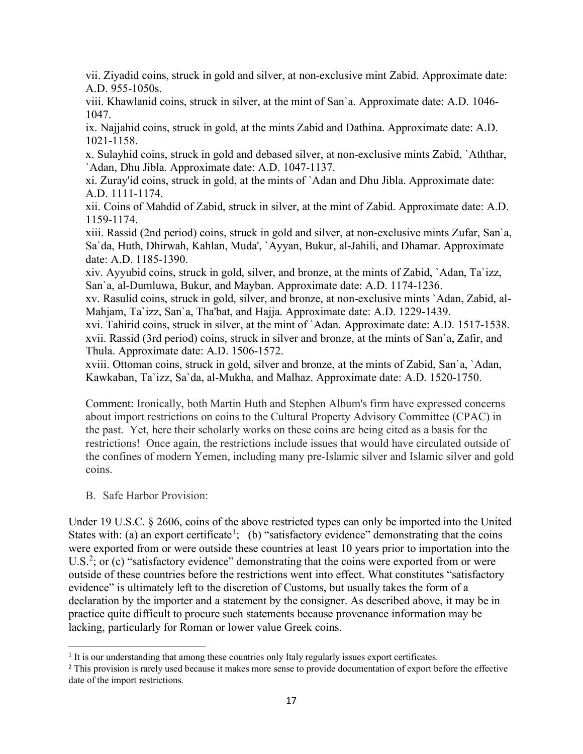vii. Ziyadid coins, struck in gold and silver, at non-exclusive mint Zabid. Approximate date: A.D. 955-1050s.

viii. Khawlanid coins, struck in silver, at the mint of San`a. Approximate date: A.D. 1046- 1047.

ix. Najjahid coins, struck in gold, at the mints Zabid and Dathina. Approximate date: A.D. 1021-1158.

x. Sulayhid coins, struck in gold and debased silver, at non-exclusive mints Zabid, `Aththar, `Adan, Dhu Jibla. Approximate date: A.D. 1047-1137.

xi. Zuray'id coins, struck in gold, at the mints of `Adan and Dhu Jibla. Approximate date: A.D. 1111-1174.

xii. Coins of Mahdid of Zabid, struck in silver, at the mint of Zabid. Approximate date: A.D. 1159-1174.

xiii. Rassid (2nd period) coins, struck in gold and silver, at non-exclusive mints Zufar, San`a, Sa`da, Huth, Dhirwah, Kahlan, Muda', `Ayyan, Bukur, al-Jahili, and Dhamar. Approximate date: A.D. 1185-1390.

xiv. Ayyubid coins, struck in gold, silver, and bronze, at the mints of Zabid, `Adan, Ta`izz, San`a, al-Dumluwa, Bukur, and Mayban. Approximate date: A.D. 1174-1236.

xv. Rasulid coins, struck in gold, silver, and bronze, at non-exclusive mints `Adan, Zabid, al-Mahjam, Ta`izz, San`a, Tha'bat, and Hajja. Approximate date: A.D. 1229-1439.

xvi. Tahirid coins, struck in silver, at the mint of `Adan. Approximate date: A.D. 1517-1538. xvii. Rassid (3rd period) coins, struck in silver and bronze, at the mints of San`a, Zafir, and Thula. Approximate date: A.D. 1506-1572.

xviii. Ottoman coins, struck in gold, silver and bronze, at the mints of Zabid, San`a, `Adan, Kawkaban, Ta`izz, Sa`da, al-Mukha, and Malhaz. Approximate date: A.D. 1520-1750.

Comment: Ironically, both Martin Huth and Stephen Album's firm have expressed concerns about import restrictions on coins to the Cultural Property Advisory Committee (CPAC) in the past. Yet, here their scholarly works on these coins are being cited as a basis for the restrictions! Once again, the restrictions include issues that would have circulated outside of the confines of modern Yemen, including many pre-Islamic silver and Islamic silver and gold coins.

B. Safe Harbor Provision:

Under 19 U.S.C. § 2606, coins of the above restricted types can only be imported into the United States with: (a) an export certificate<sup>[1](#page-16-0)</sup>; (b) "satisfactory evidence" demonstrating that the coins were exported from or were outside these countries at least 10 years prior to importation into the U.S.<sup>[2](#page-16-1)</sup>; or (c) "satisfactory evidence" demonstrating that the coins were exported from or were outside of these countries before the restrictions went into effect. What constitutes "satisfactory evidence" is ultimately left to the discretion of Customs, but usually takes the form of a declaration by the importer and a statement by the consigner. As described above, it may be in practice quite difficult to procure such statements because provenance information may be lacking, particularly for Roman or lower value Greek coins.

<span id="page-16-0"></span><sup>&</sup>lt;sup>1</sup> It is our understanding that among these countries only Italy regularly issues export certificates.

<span id="page-16-1"></span><sup>&</sup>lt;sup>2</sup> This provision is rarely used because it makes more sense to provide documentation of export before the effective date of the import restrictions.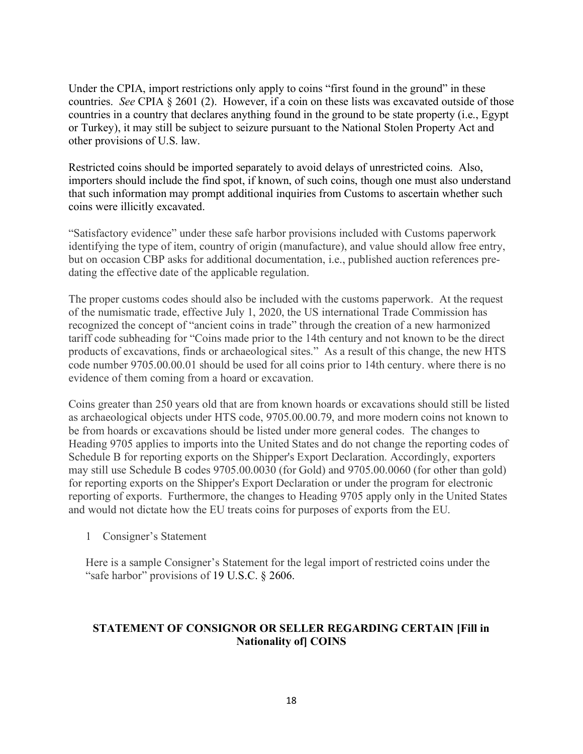Under the CPIA, import restrictions only apply to coins "first found in the ground" in these countries. *See* CPIA § 2601 (2). However, if a coin on these lists was excavated outside of those countries in a country that declares anything found in the ground to be state property (i.e., Egypt or Turkey), it may still be subject to seizure pursuant to the National Stolen Property Act and other provisions of U.S. law.

Restricted coins should be imported separately to avoid delays of unrestricted coins. Also, importers should include the find spot, if known, of such coins, though one must also understand that such information may prompt additional inquiries from Customs to ascertain whether such coins were illicitly excavated.

"Satisfactory evidence" under these safe harbor provisions included with Customs paperwork identifying the type of item, country of origin (manufacture), and value should allow free entry, but on occasion CBP asks for additional documentation, i.e., published auction references predating the effective date of the applicable regulation.

The proper customs codes should also be included with the customs paperwork. At the request of the numismatic trade, effective July 1, 2020, the US international Trade Commission has recognized the concept of "ancient coins in trade" through the creation of a new harmonized tariff code subheading for "Coins made prior to the 14th century and not known to be the direct products of excavations, finds or archaeological sites." As a result of this change, the new HTS code number 9705.00.00.01 should be used for all coins prior to 14th century. where there is no evidence of them coming from a hoard or excavation.

Coins greater than 250 years old that are from known hoards or excavations should still be listed as archaeological objects under HTS code, 9705.00.00.79, and more modern coins not known to be from hoards or excavations should be listed under more general codes. The changes to Heading 9705 applies to imports into the United States and do not change the reporting codes of Schedule B for reporting exports on the Shipper's Export Declaration. Accordingly, exporters may still use Schedule B codes 9705.00.0030 (for Gold) and 9705.00.0060 (for other than gold) for reporting exports on the Shipper's Export Declaration or under the program for electronic reporting of exports. Furthermore, the changes to Heading 9705 apply only in the United States and would not dictate how the EU treats coins for purposes of exports from the EU.

1 Consigner's Statement

Here is a sample Consigner's Statement for the legal import of restricted coins under the "safe harbor" provisions of 19 U.S.C. § 2606.

# **STATEMENT OF CONSIGNOR OR SELLER REGARDING CERTAIN [Fill in Nationality of] COINS**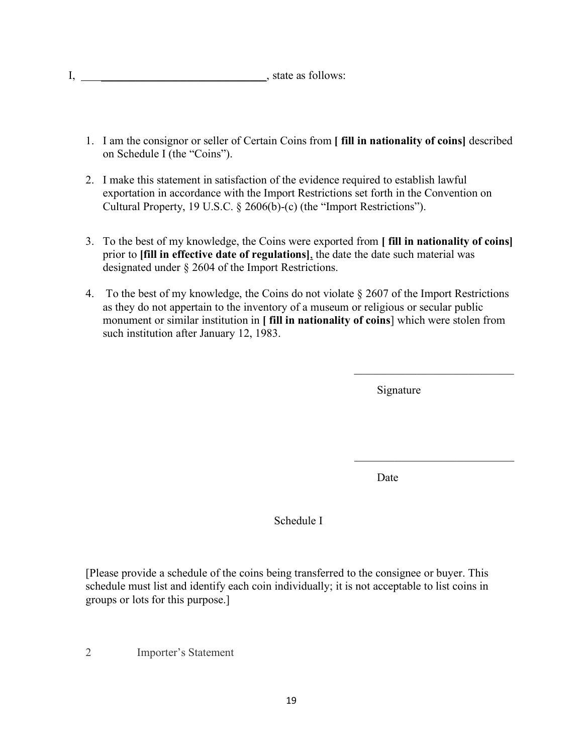$I, \qquad \qquad \underline{\qquad}$ , state as follows:

- 1. I am the consignor or seller of Certain Coins from **[ fill in nationality of coins]** described on Schedule I (the "Coins").
- 2. I make this statement in satisfaction of the evidence required to establish lawful exportation in accordance with the Import Restrictions set forth in the Convention on Cultural Property, 19 U.S.C. § 2606(b)-(c) (the "Import Restrictions").
- 3. To the best of my knowledge, the Coins were exported from **[ fill in nationality of coins]** prior to **[fill in effective date of regulations]**, the date the date such material was designated under § 2604 of the Import Restrictions.
- 4. To the best of my knowledge, the Coins do not violate  $\S 2607$  of the Import Restrictions as they do not appertain to the inventory of a museum or religious or secular public monument or similar institution in **[ fill in nationality of coins**] which were stolen from such institution after January 12, 1983.

Signature

 $\mathcal{L}_\text{max}$  , where  $\mathcal{L}_\text{max}$  and  $\mathcal{L}_\text{max}$ 

\_\_\_\_\_\_\_\_\_\_\_\_\_\_\_\_\_\_\_\_\_\_\_\_\_\_\_\_

Date

Schedule I

[Please provide a schedule of the coins being transferred to the consignee or buyer. This schedule must list and identify each coin individually; it is not acceptable to list coins in groups or lots for this purpose.]

2 Importer's Statement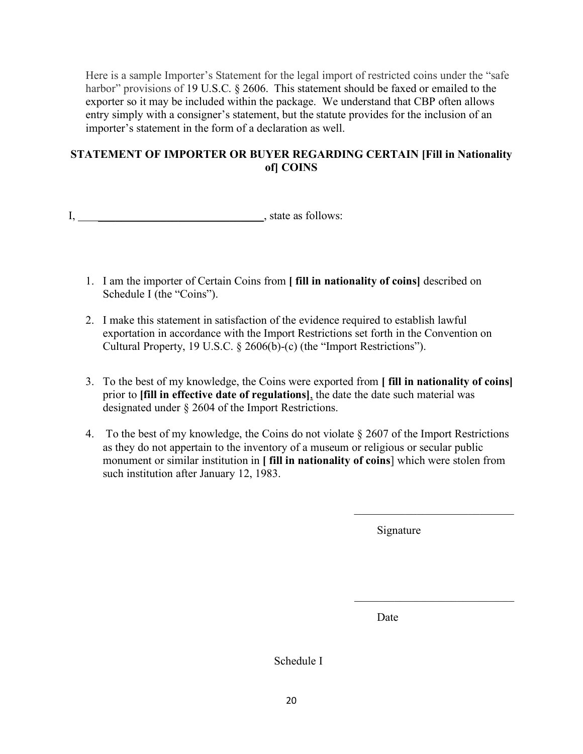Here is a sample Importer's Statement for the legal import of restricted coins under the "safe harbor" provisions of 19 U.S.C. § 2606. This statement should be faxed or emailed to the exporter so it may be included within the package. We understand that CBP often allows entry simply with a consigner's statement, but the statute provides for the inclusion of an importer's statement in the form of a declaration as well.

# **STATEMENT OF IMPORTER OR BUYER REGARDING CERTAIN [Fill in Nationality of] COINS**

I, state as follows:

- 1. I am the importer of Certain Coins from **[ fill in nationality of coins]** described on Schedule I (the "Coins").
- 2. I make this statement in satisfaction of the evidence required to establish lawful exportation in accordance with the Import Restrictions set forth in the Convention on Cultural Property, 19 U.S.C. § 2606(b)-(c) (the "Import Restrictions").
- 3. To the best of my knowledge, the Coins were exported from **[ fill in nationality of coins]**  prior to **[fill in effective date of regulations]**, the date the date such material was designated under § 2604 of the Import Restrictions.
- 4. To the best of my knowledge, the Coins do not violate § 2607 of the Import Restrictions as they do not appertain to the inventory of a museum or religious or secular public monument or similar institution in **[ fill in nationality of coins**] which were stolen from such institution after January 12, 1983.

Signature

Date

Schedule I